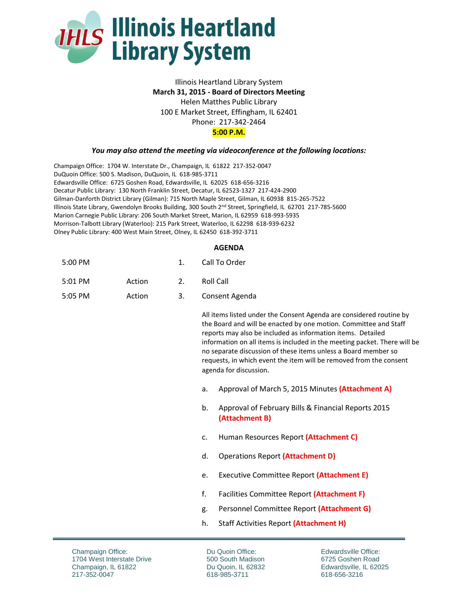

Illinois Heartland Library System **March 31, 2015 - Board of Directors Meeting** Helen Matthes Public Library 100 E Market Street, Effingham, IL 62401 Phone: 217-342-2464 **5:00 P.M.**

## *You may also attend the meeting via videoconference at the following locations:*

Champaign Office: 1704 W. Interstate Dr., Champaign, IL 61822 217-352-0047 DuQuoin Office: 500 S. Madison, DuQuoin, IL 618-985-3711 Edwardsville Office: 6725 Goshen Road, Edwardsville, IL 62025 618-656-3216 Decatur Public Library: 130 North Franklin Street, Decatur, IL 62523-1327 217-424-2900 Gilman-Danforth District Library (Gilman): 715 North Maple Street, Gilman, IL 60938 815-265-7522 Illinois State Library, Gwendolyn Brooks Building, 300 South 2nd Street, Springfield, IL 62701 217-785-5600 Marion Carnegie Public Library: 206 South Market Street, Marion, IL 62959 618-993-5935 Morrison-Talbott Library (Waterloo): 215 Park Street, Waterloo, IL 62298 618-939-6232 Olney Public Library: 400 West Main Street, Olney, IL 62450 618-392-3711

## **AGENDA**

| 5:00 PM   |        | 1.            | Call To Order  |
|-----------|--------|---------------|----------------|
| $5:01$ PM | Action | $\mathcal{L}$ | Roll Call      |
| 5:05 PM   | Action | 3.            | Consent Agenda |

All items listed under the Consent Agenda are considered routine by the Board and will be enacted by one motion. Committee and Staff reports may also be included as information items. Detailed information on all items is included in the meeting packet. There will be no separate discussion of these items unless a Board member so requests, in which event the item will be removed from the consent agenda for discussion.

- a. Approval of March 5, 2015 Minutes **(Attachment A)**
- b. Approval of February Bills & Financial Reports 2015 **(Attachment B)**
- c. Human Resources Report **(Attachment C)**
- d. Operations Report **(Attachment D)**
- e. Executive Committee Report **(Attachment E)**
- f. Facilities Committee Report **(Attachment F)**
- g. Personnel Committee Report **(Attachment G)**
- h. Staff Activities Report **(Attachment H)**

Champaign Office: 1704 West Interstate Drive Champaign, IL 61822 217-352-0047

Du Quoin Office: 500 South Madison Du Quoin, IL 62832 618-985-3711

Edwardsville Office: 6725 Goshen Road Edwardsville, IL 62025 618-656-3216